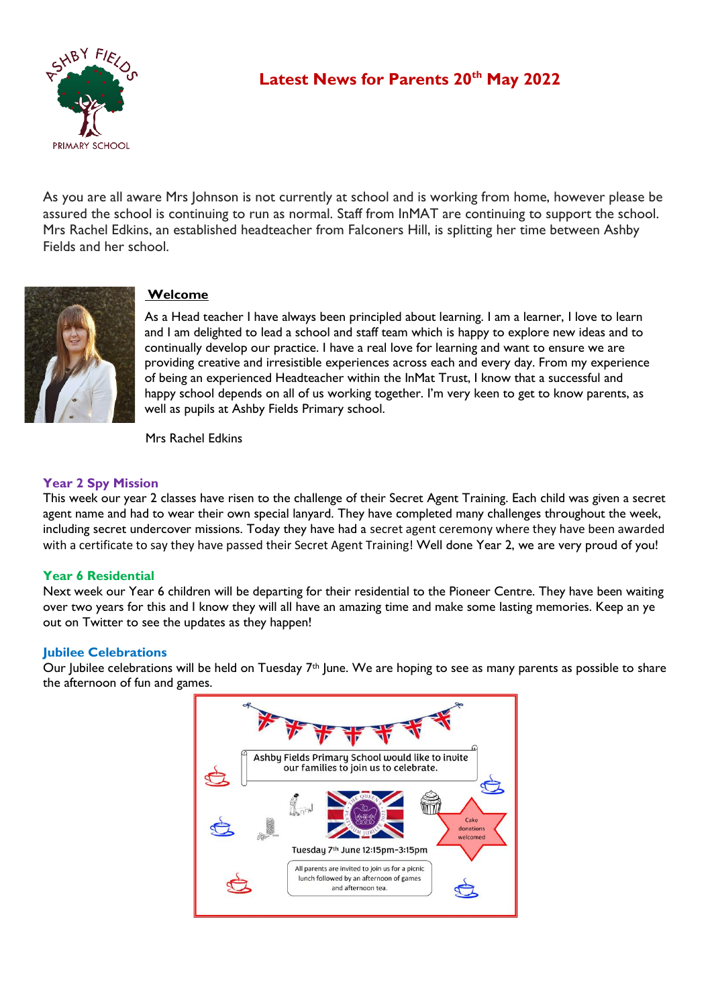

# **Latest News for Parents 20th May 2022**

As you are all aware Mrs Johnson is not currently at school and is working from home, however please be assured the school is continuing to run as normal. Staff from InMAT are continuing to support the school. Mrs Rachel Edkins, an established headteacher from Falconers Hill, is splitting her time between Ashby Fields and her school.



## **Welcome**

As a Head teacher I have always been principled about learning. I am a learner, I love to learn and I am delighted to lead a school and staff team which is happy to explore new ideas and to continually develop our practice. I have a real love for learning and want to ensure we are providing creative and irresistible experiences across each and every day. From my experience of being an experienced Headteacher within the InMat Trust, I know that a successful and happy school depends on all of us working together. I'm very keen to get to know parents, as well as pupils at Ashby Fields Primary school.

Mrs Rachel Edkins

## **Year 2 Spy Mission**

This week our year 2 classes have risen to the challenge of their Secret Agent Training. Each child was given a secret agent name and had to wear their own special lanyard. They have completed many challenges throughout the week, including secret undercover missions. Today they have had a secret agent ceremony where they have been awarded with a certificate to say they have passed their Secret Agent Training! Well done Year 2, we are very proud of you!

## **Year 6 Residential**

Next week our Year 6 children will be departing for their residential to the Pioneer Centre. They have been waiting over two years for this and I know they will all have an amazing time and make some lasting memories. Keep an ye out on Twitter to see the updates as they happen!

## **Jubilee Celebrations**

Our Jubilee celebrations will be held on Tuesday  $7<sup>th</sup>$  June. We are hoping to see as many parents as possible to share the afternoon of fun and games.

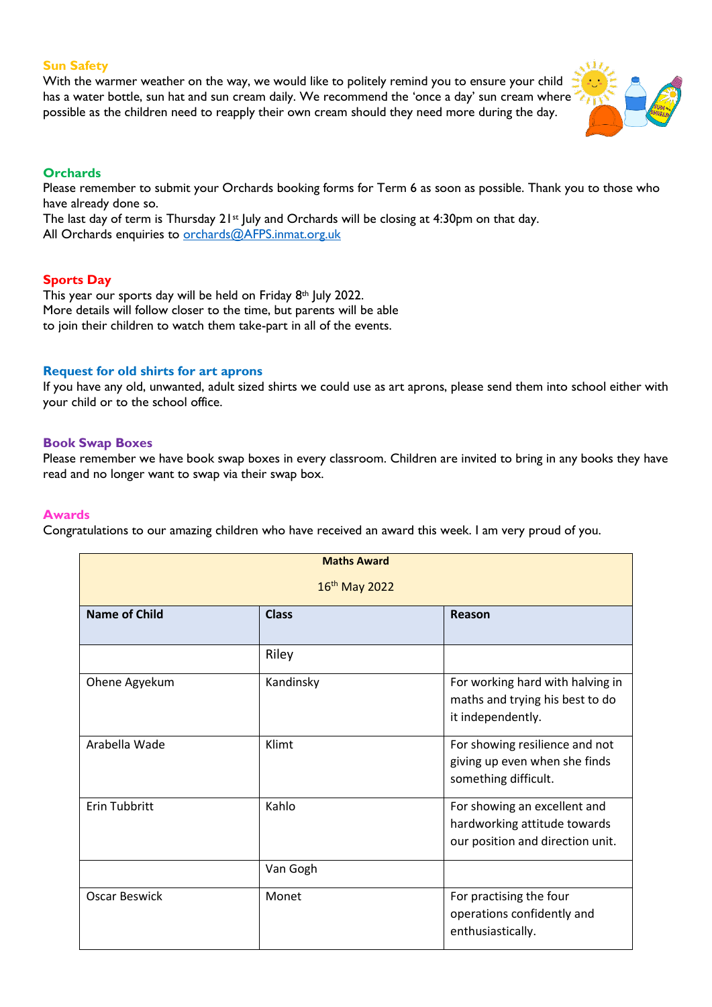#### **Sun Safety**

With the warmer weather on the way, we would like to politely remind you to ensure your child has a water bottle, sun hat and sun cream daily. We recommend the 'once a day' sun cream where possible as the children need to reapply their own cream should they need more during the day.



### **Orchards**

Please remember to submit your Orchards booking forms for Term 6 as soon as possible. Thank you to those who have already done so.

The last day of term is Thursday  $21st$  July and Orchards will be closing at 4:30pm on that day. All Orchards enquiries to [orchards@AFPS.inmat.org.uk](mailto:orchards@AFPS.inmat.org.uk)

#### **Sports Day**

This year our sports day will be held on Friday  $8<sup>th</sup>$  July 2022. More details will follow closer to the time, but parents will be able to join their children to watch them take-part in all of the events.

#### **Request for old shirts for art aprons**

If you have any old, unwanted, adult sized shirts we could use as art aprons, please send them into school either with your child or to the school office.

#### **Book Swap Boxes**

Please remember we have book swap boxes in every classroom. Children are invited to bring in any books they have read and no longer want to swap via their swap box.

#### **Awards**

Congratulations to our amazing children who have received an award this week. I am very proud of you.

| <b>Maths Award</b>   |              |                                                                                                  |  |  |
|----------------------|--------------|--------------------------------------------------------------------------------------------------|--|--|
| $16^{th}$ May 2022   |              |                                                                                                  |  |  |
| <b>Name of Child</b> | <b>Class</b> | Reason                                                                                           |  |  |
|                      | Riley        |                                                                                                  |  |  |
| Ohene Agyekum        | Kandinsky    | For working hard with halving in<br>maths and trying his best to do<br>it independently.         |  |  |
| Arabella Wade        | Klimt        | For showing resilience and not<br>giving up even when she finds<br>something difficult.          |  |  |
| <b>Erin Tubbritt</b> | Kahlo        | For showing an excellent and<br>hardworking attitude towards<br>our position and direction unit. |  |  |
|                      | Van Gogh     |                                                                                                  |  |  |
| <b>Oscar Beswick</b> | Monet        | For practising the four<br>operations confidently and<br>enthusiastically.                       |  |  |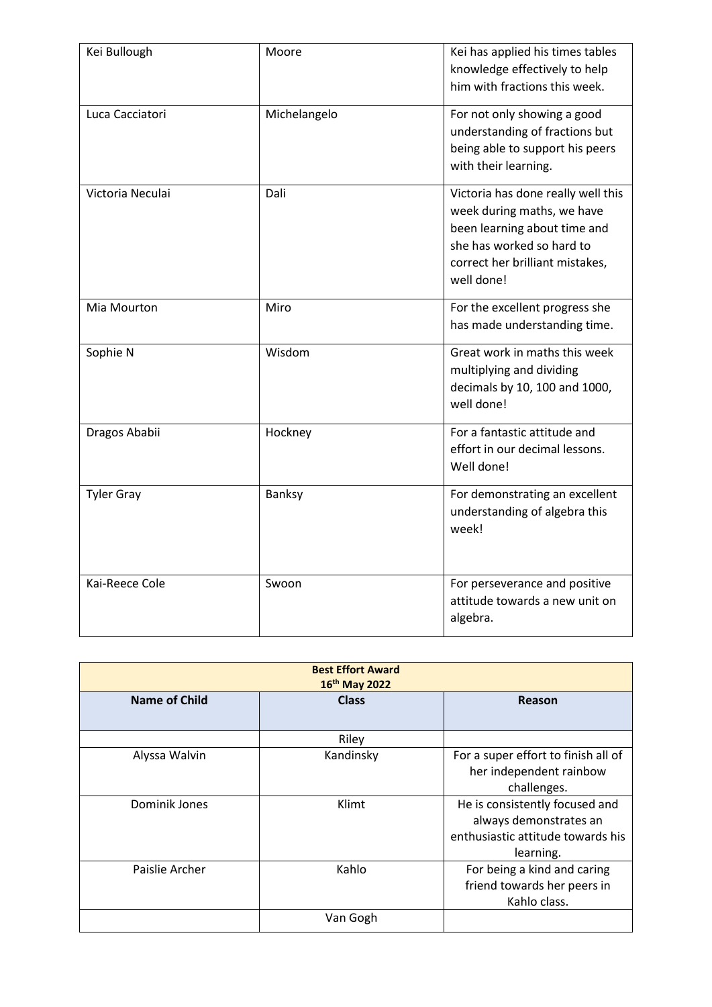| Kei Bullough      | Moore        | Kei has applied his times tables<br>knowledge effectively to help<br>him with fractions this week.                                                                             |
|-------------------|--------------|--------------------------------------------------------------------------------------------------------------------------------------------------------------------------------|
| Luca Cacciatori   | Michelangelo | For not only showing a good<br>understanding of fractions but<br>being able to support his peers<br>with their learning.                                                       |
| Victoria Neculai  | Dali         | Victoria has done really well this<br>week during maths, we have<br>been learning about time and<br>she has worked so hard to<br>correct her brilliant mistakes,<br>well done! |
| Mia Mourton       | Miro         | For the excellent progress she<br>has made understanding time.                                                                                                                 |
| Sophie N          | Wisdom       | Great work in maths this week<br>multiplying and dividing<br>decimals by 10, 100 and 1000,<br>well done!                                                                       |
| Dragos Ababii     | Hockney      | For a fantastic attitude and<br>effort in our decimal lessons.<br>Well done!                                                                                                   |
| <b>Tyler Gray</b> | Banksy       | For demonstrating an excellent<br>understanding of algebra this<br>week!                                                                                                       |
| Kai-Reece Cole    | Swoon        | For perseverance and positive<br>attitude towards a new unit on<br>algebra.                                                                                                    |

|                | <b>Best Effort Award</b><br>16 <sup>th</sup> May 2022 |                                                                                                            |
|----------------|-------------------------------------------------------|------------------------------------------------------------------------------------------------------------|
| Name of Child  | <b>Class</b>                                          | Reason                                                                                                     |
|                | Riley                                                 |                                                                                                            |
| Alyssa Walvin  | Kandinsky                                             | For a super effort to finish all of<br>her independent rainbow<br>challenges.                              |
| Dominik Jones  | Klimt                                                 | He is consistently focused and<br>always demonstrates an<br>enthusiastic attitude towards his<br>learning. |
| Paislie Archer | Kahlo                                                 | For being a kind and caring<br>friend towards her peers in<br>Kahlo class.                                 |
|                | Van Gogh                                              |                                                                                                            |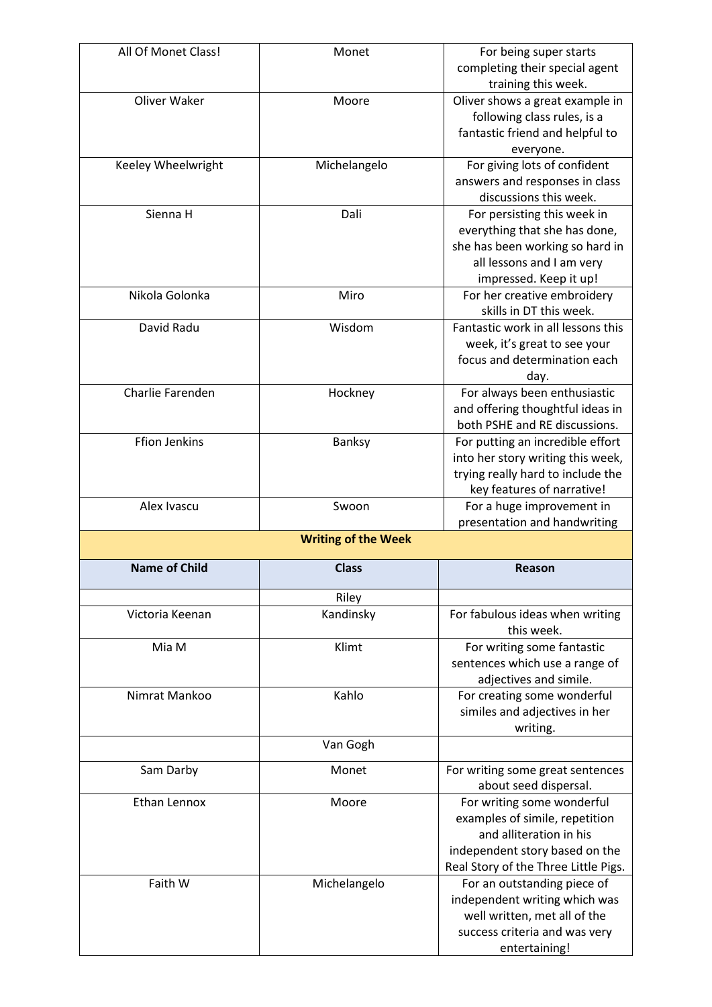| All Of Monet Class!  | Monet                      | For being super starts                                    |
|----------------------|----------------------------|-----------------------------------------------------------|
|                      |                            | completing their special agent                            |
|                      |                            | training this week.                                       |
| Oliver Waker         | Moore                      | Oliver shows a great example in                           |
|                      |                            | following class rules, is a                               |
|                      |                            | fantastic friend and helpful to                           |
|                      |                            | everyone.                                                 |
| Keeley Wheelwright   | Michelangelo               | For giving lots of confident                              |
|                      |                            | answers and responses in class                            |
|                      |                            | discussions this week.                                    |
| Sienna H             | Dali                       | For persisting this week in                               |
|                      |                            | everything that she has done,                             |
|                      |                            | she has been working so hard in                           |
|                      |                            | all lessons and I am very                                 |
|                      |                            | impressed. Keep it up!                                    |
| Nikola Golonka       | Miro                       | For her creative embroidery                               |
|                      |                            | skills in DT this week.                                   |
| David Radu           | Wisdom                     | Fantastic work in all lessons this                        |
|                      |                            | week, it's great to see your                              |
|                      |                            | focus and determination each                              |
|                      |                            | day.                                                      |
| Charlie Farenden     | Hockney                    | For always been enthusiastic                              |
|                      |                            | and offering thoughtful ideas in                          |
|                      |                            | both PSHE and RE discussions.                             |
| <b>Ffion Jenkins</b> | Banksy                     | For putting an incredible effort                          |
|                      |                            | into her story writing this week,                         |
|                      |                            | trying really hard to include the                         |
|                      |                            | key features of narrative!                                |
| Alex Ivascu          | Swoon                      | For a huge improvement in                                 |
|                      |                            |                                                           |
|                      |                            | presentation and handwriting                              |
|                      | <b>Writing of the Week</b> |                                                           |
|                      |                            |                                                           |
| <b>Name of Child</b> | <b>Class</b>               | <b>Reason</b>                                             |
|                      | Riley                      |                                                           |
| Victoria Keenan      | Kandinsky                  | For fabulous ideas when writing                           |
|                      |                            | this week.                                                |
| Mia M                | Klimt                      | For writing some fantastic                                |
|                      |                            | sentences which use a range of                            |
|                      |                            | adjectives and simile.                                    |
| Nimrat Mankoo        | Kahlo                      | For creating some wonderful                               |
|                      |                            | similes and adjectives in her                             |
|                      |                            | writing.                                                  |
|                      | Van Gogh                   |                                                           |
|                      | Monet                      |                                                           |
| Sam Darby            |                            | For writing some great sentences<br>about seed dispersal. |
| Ethan Lennox         | Moore                      | For writing some wonderful                                |
|                      |                            | examples of simile, repetition                            |
|                      |                            | and alliteration in his                                   |
|                      |                            | independent story based on the                            |
|                      |                            | Real Story of the Three Little Pigs.                      |
| Faith W              | Michelangelo               | For an outstanding piece of                               |
|                      |                            | independent writing which was                             |
|                      |                            | well written, met all of the                              |
|                      |                            | success criteria and was very                             |